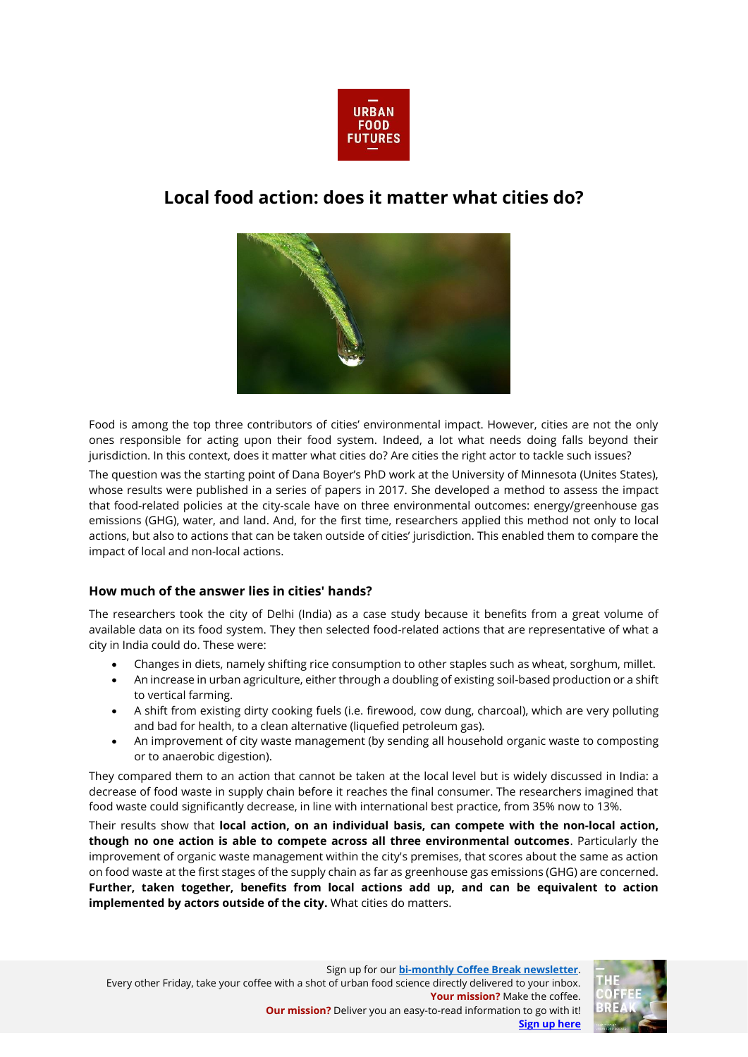

## **Local food action: does it matter what cities do?**



Food is among the top three contributors of cities' environmental impact. However, cities are not the only ones responsible for acting upon their food system. Indeed, a lot what needs doing falls beyond their jurisdiction. In this context, does it matter what cities do? Are cities the right actor to tackle such issues?

The question was the starting point of Dana Boyer's PhD work at the University of Minnesota (Unites States), whose results were published in a series of papers in 2017. She developed a method to assess the impact that food-related policies at the city-scale have on three environmental outcomes: energy/greenhouse gas emissions (GHG), water, and land. And, for the first time, researchers applied this method not only to local actions, but also to actions that can be taken outside of cities' jurisdiction. This enabled them to compare the impact of local and non-local actions.

## **How much of the answer lies in cities' hands?**

The researchers took the city of Delhi (India) as a case study because it benefits from a great volume of available data on its food system. They then selected food-related actions that are representative of what a city in India could do. These were:

- Changes in diets, namely shifting rice consumption to other staples such as wheat, sorghum, millet.
- An increase in urban agriculture, either through a doubling of existing soil-based production or a shift to vertical farming.
- A shift from existing dirty cooking fuels (i.e. firewood, cow dung, charcoal), which are very polluting and bad for health, to a clean alternative (liquefied petroleum gas).
- An improvement of city waste management (by sending all household organic waste to composting or to anaerobic digestion).

They compared them to an action that cannot be taken at the local level but is widely discussed in India: a decrease of food waste in supply chain before it reaches the final consumer. The researchers imagined that food waste could significantly decrease, in line with international best practice, from 35% now to 13%.

Their results show that **local action, on an individual basis, can compete with the non-local action, though no one action is able to compete across all three environmental outcomes**. Particularly the improvement of organic waste management within the city's premises, that scores about the same as action on food waste at the first stages of the supply chain as far as greenhouse gas emissions (GHG) are concerned. **Further, taken together, benefits from local actions add up, and can be equivalent to action implemented by actors outside of the city.** What cities do matters.